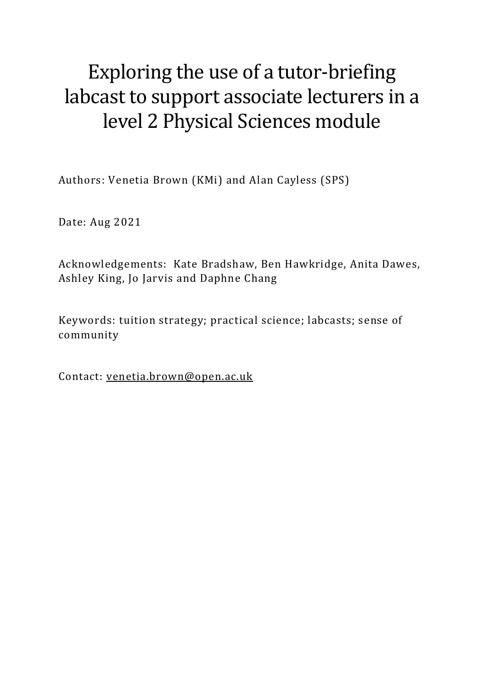# Exploring the use of a tutor-briefing labcast to support associate lecturers in a level 2 Physical Sciences module

Authors: Venetia Brown (KMi) and Alan Cayless (SPS)

Date: Aug 2021

Acknowledgements: Kate Bradshaw, Ben Hawkridge, Anita Dawes, Ashley King, Jo Jarvis and Daphne Chang

Keywords: tuition strategy; practical science; labcasts; sense of community

Contact: [venetia.brown@open.ac.uk](mailto:venetia.brown@open.ac.uk)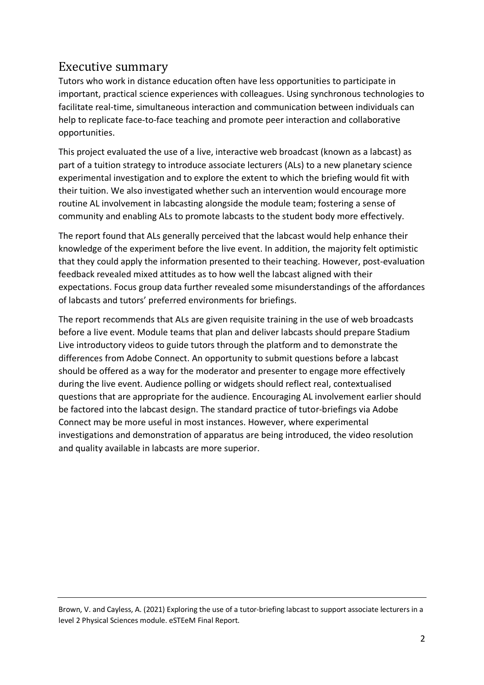# Executive summary

Tutors who work in distance education often have less opportunities to participate in important, practical science experiences with colleagues. Using synchronous technologies to facilitate real-time, simultaneous interaction and communication between individuals can help to replicate face-to-face teaching and promote peer interaction and collaborative opportunities.

This project evaluated the use of a live, interactive web broadcast (known as a labcast) as part of a tuition strategy to introduce associate lecturers (ALs) to a new planetary science experimental investigation and to explore the extent to which the briefing would fit with their tuition. We also investigated whether such an intervention would encourage more routine AL involvement in labcasting alongside the module team; fostering a sense of community and enabling ALs to promote labcasts to the student body more effectively.

The report found that ALs generally perceived that the labcast would help enhance their knowledge of the experiment before the live event. In addition, the majority felt optimistic that they could apply the information presented to their teaching. However, post-evaluation feedback revealed mixed attitudes as to how well the labcast aligned with their expectations. Focus group data further revealed some misunderstandings of the affordances of labcasts and tutors' preferred environments for briefings.

The report recommends that ALs are given requisite training in the use of web broadcasts before a live event. Module teams that plan and deliver labcasts should prepare Stadium Live introductory videos to guide tutors through the platform and to demonstrate the differences from Adobe Connect. An opportunity to submit questions before a labcast should be offered as a way for the moderator and presenter to engage more effectively during the live event. Audience polling or widgets should reflect real, contextualised questions that are appropriate for the audience. Encouraging AL involvement earlier should be factored into the labcast design. The standard practice of tutor-briefings via Adobe Connect may be more useful in most instances. However, where experimental investigations and demonstration of apparatus are being introduced, the video resolution and quality available in labcasts are more superior.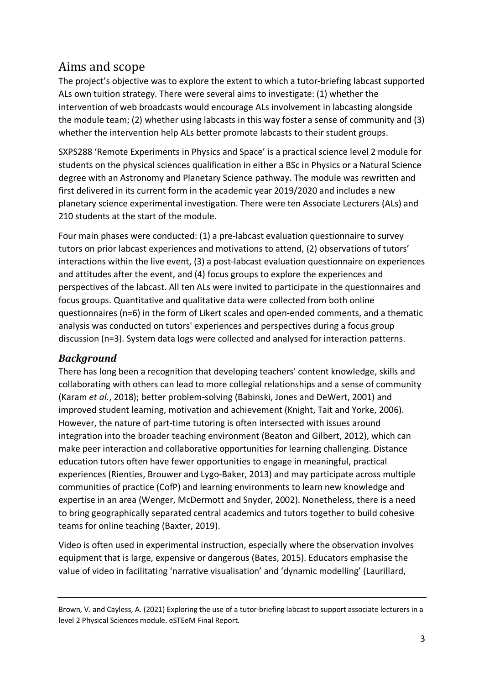# Aims and scope

The project's objective was to explore the extent to which a tutor-briefing labcast supported ALs own tuition strategy. There were several aims to investigate: (1) whether the intervention of web broadcasts would encourage ALs involvement in labcasting alongside the module team; (2) whether using labcasts in this way foster a sense of community and (3) whether the intervention help ALs better promote labcasts to their student groups.

SXPS288 'Remote Experiments in Physics and Space' is a practical science level 2 module for students on the physical sciences qualification in either a BSc in Physics or a Natural Science degree with an Astronomy and Planetary Science pathway. The module was rewritten and first delivered in its current form in the academic year 2019/2020 and includes a new planetary science experimental investigation. There were ten Associate Lecturers (ALs) and 210 students at the start of the module.

Four main phases were conducted: (1) a pre-labcast evaluation questionnaire to survey tutors on prior labcast experiences and motivations to attend, (2) observations of tutors' interactions within the live event, (3) a post-labcast evaluation questionnaire on experiences and attitudes after the event, and (4) focus groups to explore the experiences and perspectives of the labcast. All ten ALs were invited to participate in the questionnaires and focus groups. Quantitative and qualitative data were collected from both online questionnaires (n=6) in the form of Likert scales and open-ended comments, and a thematic analysis was conducted on tutors' experiences and perspectives during a focus group discussion (n=3). System data logs were collected and analysed for interaction patterns.

# *Background*

There has long been a recognition that developing teachers' content knowledge, skills and collaborating with others can lead to more collegial relationships and a sense of community (Karam *et al.*, 2018); better problem-solving (Babinski, Jones and DeWert, 2001) and improved student learning, motivation and achievement (Knight, Tait and Yorke, 2006). However, the nature of part-time tutoring is often intersected with issues around integration into the broader teaching environment (Beaton and Gilbert, 2012), which can make peer interaction and collaborative opportunities for learning challenging. Distance education tutors often have fewer opportunities to engage in meaningful, practical experiences (Rienties, Brouwer and Lygo-Baker, 2013) and may participate across multiple communities of practice (CofP) and learning environments to learn new knowledge and expertise in an area (Wenger, McDermott and Snyder, 2002). Nonetheless, there is a need to bring geographically separated central academics and tutors together to build cohesive teams for online teaching (Baxter, 2019).

Video is often used in experimental instruction, especially where the observation involves equipment that is large, expensive or dangerous (Bates, 2015). Educators emphasise the value of video in facilitating 'narrative visualisation' and 'dynamic modelling' (Laurillard,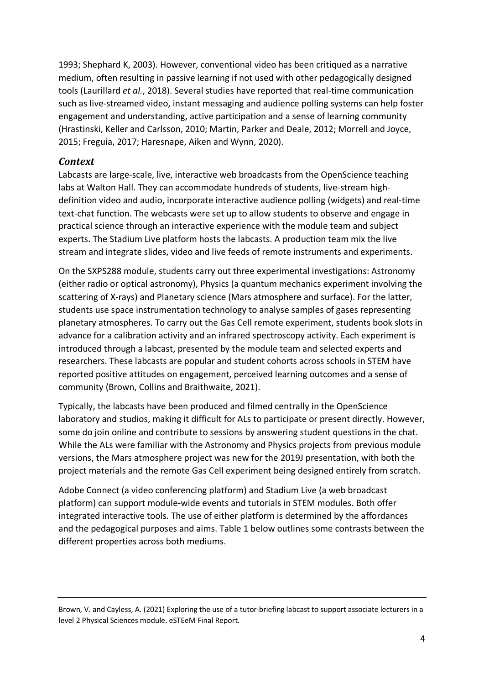1993; Shephard K, 2003). However, conventional video has been critiqued as a narrative medium, often resulting in passive learning if not used with other pedagogically designed tools (Laurillard *et al.*, 2018). Several studies have reported that real-time communication such as live-streamed video, instant messaging and audience polling systems can help foster engagement and understanding, active participation and a sense of learning community (Hrastinski, Keller and Carlsson, 2010; Martin, Parker and Deale, 2012; Morrell and Joyce, 2015; Freguia, 2017; Haresnape, Aiken and Wynn, 2020).

### *Context*

Labcasts are large-scale, live, interactive web broadcasts from the OpenScience teaching labs at Walton Hall. They can accommodate hundreds of students, live-stream highdefinition video and audio, incorporate interactive audience polling (widgets) and real-time text-chat function. The webcasts were set up to allow students to observe and engage in practical science through an interactive experience with the module team and subject experts. The Stadium Live platform hosts the labcasts. A production team mix the live stream and integrate slides, video and live feeds of remote instruments and experiments.

On the SXPS288 module, students carry out three experimental investigations: Astronomy (either radio or optical astronomy), Physics (a quantum mechanics experiment involving the scattering of X-rays) and Planetary science (Mars atmosphere and surface). For the latter, students use space instrumentation technology to analyse samples of gases representing planetary atmospheres. To carry out the Gas Cell remote experiment, students book slots in advance for a calibration activity and an infrared spectroscopy activity. Each experiment is introduced through a labcast, presented by the module team and selected experts and researchers. These labcasts are popular and student cohorts across schools in STEM have reported positive attitudes on engagement, perceived learning outcomes and a sense of community (Brown, Collins and Braithwaite, 2021).

Typically, the labcasts have been produced and filmed centrally in the OpenScience laboratory and studios, making it difficult for ALs to participate or present directly. However, some do join online and contribute to sessions by answering student questions in the chat. While the ALs were familiar with the Astronomy and Physics projects from previous module versions, the Mars atmosphere project was new for the 2019J presentation, with both the project materials and the remote Gas Cell experiment being designed entirely from scratch.

Adobe Connect (a video conferencing platform) and Stadium Live (a web broadcast platform) can support module-wide events and tutorials in STEM modules. Both offer integrated interactive tools. The use of either platform is determined by the affordances and the pedagogical purposes and aims. Table 1 below outlines some contrasts between the different properties across both mediums.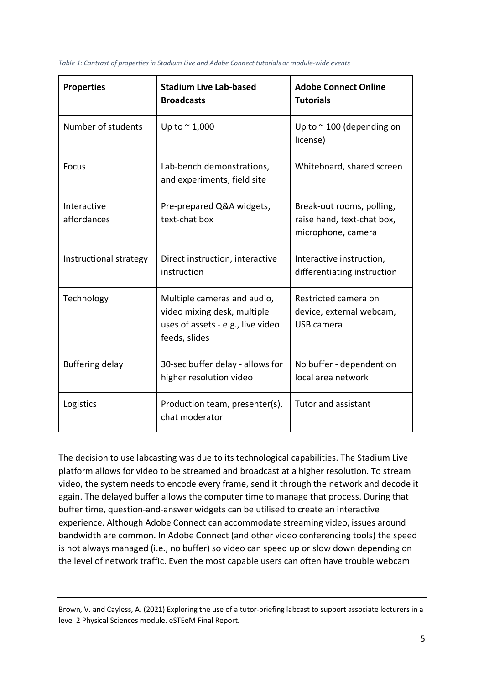| <b>Properties</b>          | <b>Stadium Live Lab-based</b><br><b>Broadcasts</b>                                                               | <b>Adobe Connect Online</b><br><b>Tutorials</b>                               |
|----------------------------|------------------------------------------------------------------------------------------------------------------|-------------------------------------------------------------------------------|
| Number of students         | Up to $\sim$ 1,000                                                                                               | Up to $\sim$ 100 (depending on<br>license)                                    |
| Focus                      | Lab-bench demonstrations,<br>and experiments, field site                                                         | Whiteboard, shared screen                                                     |
| Interactive<br>affordances | Pre-prepared Q&A widgets,<br>text-chat box                                                                       | Break-out rooms, polling,<br>raise hand, text-chat box,<br>microphone, camera |
| Instructional strategy     | Direct instruction, interactive<br>instruction                                                                   | Interactive instruction,<br>differentiating instruction                       |
| Technology                 | Multiple cameras and audio,<br>video mixing desk, multiple<br>uses of assets - e.g., live video<br>feeds, slides | Restricted camera on<br>device, external webcam,<br>USB camera                |
| Buffering delay            | 30-sec buffer delay - allows for<br>higher resolution video                                                      | No buffer - dependent on<br>local area network                                |
| Logistics                  | Production team, presenter(s),<br>chat moderator                                                                 | <b>Tutor and assistant</b>                                                    |

<span id="page-4-0"></span>*Table 1: Contrast of properties in Stadium Live and Adobe Connect tutorials or module-wide events*

The decision to use labcasting was due to its technological capabilities. The Stadium Live platform allows for video to be streamed and broadcast at a higher resolution. To stream video, the system needs to encode every frame, send it through the network and decode it again. The delayed buffer allows the computer time to manage that process. During that buffer time, question-and-answer widgets can be utilised to create an interactive experience. Although Adobe Connect can accommodate streaming video, issues around bandwidth are common. In Adobe Connect (and other video conferencing tools) the speed is not always managed (i.e., no buffer) so video can speed up or slow down depending on the level of network traffic. Even the most capable users can often have trouble webcam

Brown, V. and Cayless, A. (2021) Exploring the use of a tutor-briefing labcast to support associate lecturers in a level 2 Physical Sciences module. eSTEeM Final Report.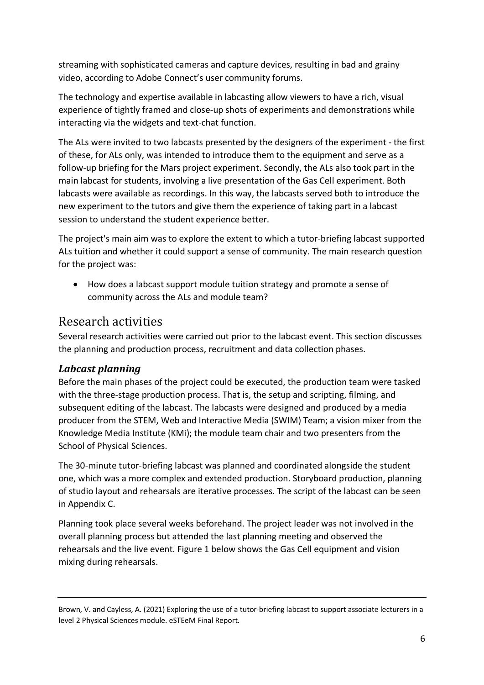streaming with sophisticated cameras and capture devices, resulting in bad and grainy video, according to Adobe Connect's user community forums.

The technology and expertise available in labcasting allow viewers to have a rich, visual experience of tightly framed and close-up shots of experiments and demonstrations while interacting via the widgets and text-chat function.

The ALs were invited to two labcasts presented by the designers of the experiment - the first of these, for ALs only, was intended to introduce them to the equipment and serve as a follow-up briefing for the Mars project experiment. Secondly, the ALs also took part in the main labcast for students, involving a live presentation of the Gas Cell experiment. Both labcasts were available as recordings. In this way, the labcasts served both to introduce the new experiment to the tutors and give them the experience of taking part in a labcast session to understand the student experience better.

The project's main aim was to explore the extent to which a tutor-briefing labcast supported ALs tuition and whether it could support a sense of community. The main research question for the project was:

• How does a labcast support module tuition strategy and promote a sense of community across the ALs and module team?

# Research activities

Several research activities were carried out prior to the labcast event. This section discusses the planning and production process, recruitment and data collection phases.

# *Labcast planning*

Before the main phases of the project could be executed, the production team were tasked with the three-stage production process. That is, the setup and scripting, filming, and subsequent editing of the labcast. The labcasts were designed and produced by a media producer from the STEM, Web and Interactive Media (SWIM) Team; a vision mixer from the Knowledge Media Institute (KMi); the module team chair and two presenters from the School of Physical Sciences.

The 30-minute tutor-briefing labcast was planned and coordinated alongside the student one, which was a more complex and extended production. Storyboard production, planning of studio layout and rehearsals are iterative processes. The script of the labcast can be seen in Appendix C.

Planning took place several weeks beforehand. The project leader was not involved in the overall planning process but attended the last planning meeting and observed the rehearsals and the live event. Figure 1 below shows the Gas Cell equipment and vision mixing during rehearsals.

Brown, V. and Cayless, A. (2021) Exploring the use of a tutor-briefing labcast to support associate lecturers in a level 2 Physical Sciences module. eSTEeM Final Report.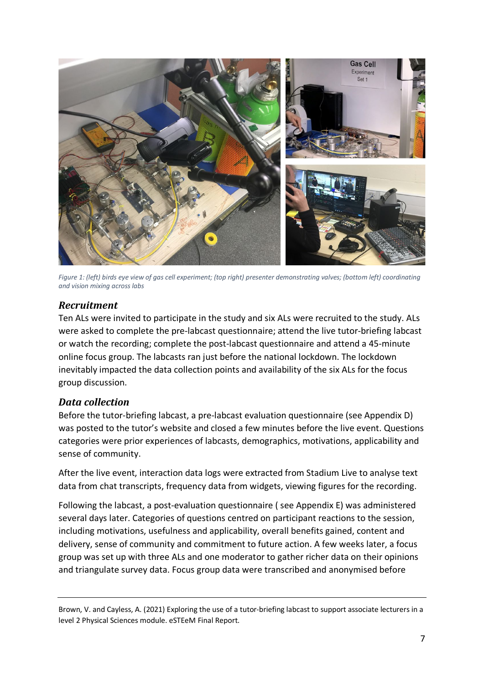

*Figure 1: (left) birds eye view of gas cell experiment; (top right) presenter demonstrating valves; (bottom left) coordinating and vision mixing across labs*

### <span id="page-6-0"></span>*Recruitment*

Ten ALs were invited to participate in the study and six ALs were recruited to the study. ALs were asked to complete the pre-labcast questionnaire; attend the live tutor-briefing labcast or watch the recording; complete the post-labcast questionnaire and attend a 45-minute online focus group. The labcasts ran just before the national lockdown. The lockdown inevitably impacted the data collection points and availability of the six ALs for the focus group discussion.

### *Data collection*

Before the tutor-briefing labcast, a pre-labcast evaluation questionnaire (see Appendix D) was posted to the tutor's website and closed a few minutes before the live event. Questions categories were prior experiences of labcasts, demographics, motivations, applicability and sense of community.

After the live event, interaction data logs were extracted from Stadium Live to analyse text data from chat transcripts, frequency data from widgets, viewing figures for the recording.

Following the labcast, a post-evaluation questionnaire ( see Appendix E) was administered several days later. Categories of questions centred on participant reactions to the session, including motivations, usefulness and applicability, overall benefits gained, content and delivery, sense of community and commitment to future action. A few weeks later, a focus group was set up with three ALs and one moderator to gather richer data on their opinions and triangulate survey data. Focus group data were transcribed and anonymised before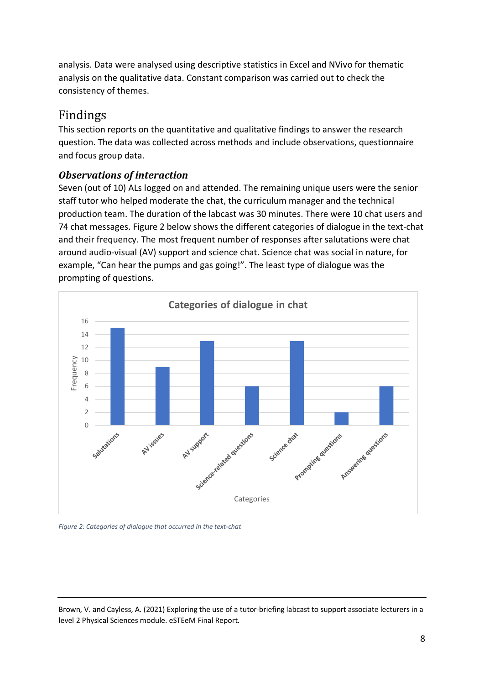analysis. Data were analysed using descriptive statistics in Excel and NVivo for thematic analysis on the qualitative data. Constant comparison was carried out to check the consistency of themes.

# Findings

This section reports on the quantitative and qualitative findings to answer the research question. The data was collected across methods and include observations, questionnaire and focus group data.

# *Observations of interaction*

Seven (out of 10) ALs logged on and attended. The remaining unique users were the senior staff tutor who helped moderate the chat, the curriculum manager and the technical production team. The duration of the labcast was 30 minutes. There were 10 chat users and 74 chat messages. Figure 2 below shows the different categories of dialogue in the text-chat and their frequency. The most frequent number of responses after salutations were chat around audio-visual (AV) support and science chat. Science chat was social in nature, for example, "Can hear the pumps and gas going!". The least type of dialogue was the prompting of questions.



<span id="page-7-0"></span>*Figure 2: Categories of dialogue that occurred in the text-chat*

Brown, V. and Cayless, A. (2021) Exploring the use of a tutor-briefing labcast to support associate lecturers in a level 2 Physical Sciences module. eSTEeM Final Report.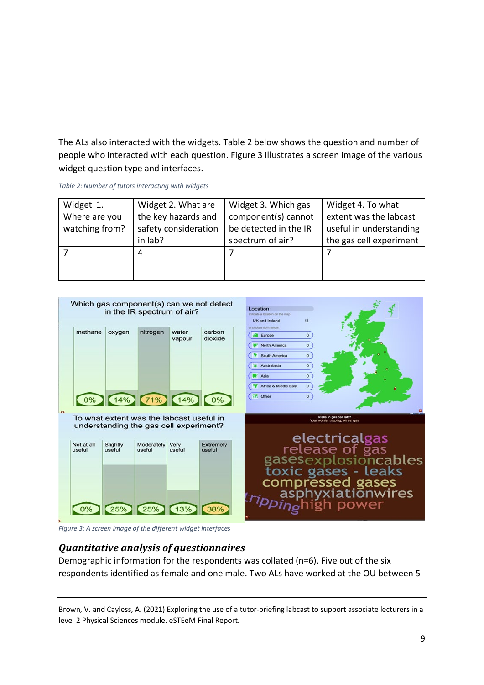The ALs also interacted with the widgets. Table 2 below shows the question and number of people who interacted with each question. Figure 3 illustrates a screen image of the various widget question type and interfaces.

<span id="page-8-0"></span>

| Widget 1.      | Widget 2. What are   | Widget 3. Which gas   | Widget 4. To what       |
|----------------|----------------------|-----------------------|-------------------------|
| Where are you  | the key hazards and  | component(s) cannot   | extent was the labcast  |
| watching from? | safety consideration | be detected in the IR | useful in understanding |
|                | in lab?              | spectrum of air?      | the gas cell experiment |
|                | 4                    |                       |                         |
|                |                      |                       |                         |
|                |                      |                       |                         |



<span id="page-8-1"></span>*Figure 3: A screen image of the different widget interfaces*

# *Quantitative analysis of questionnaires*

Demographic information for the respondents was collated (n=6). Five out of the six respondents identified as female and one male. Two ALs have worked at the OU between 5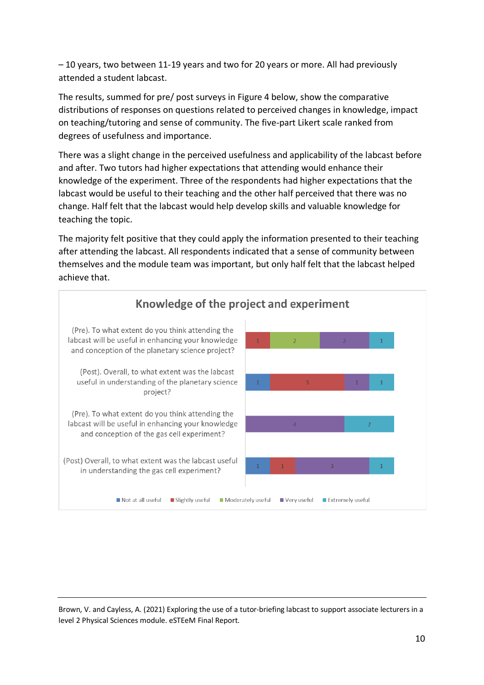– 10 years, two between 11-19 years and two for 20 years or more. All had previously attended a student labcast.

The results, summed for pre/ post surveys in Figure 4 below, show the comparative distributions of responses on questions related to perceived changes in knowledge, impact on teaching/tutoring and sense of community. The five-part Likert scale ranked from degrees of usefulness and importance.

There was a slight change in the perceived usefulness and applicability of the labcast before and after. Two tutors had higher expectations that attending would enhance their knowledge of the experiment. Three of the respondents had higher expectations that the labcast would be useful to their teaching and the other half perceived that there was no change. Half felt that the labcast would help develop skills and valuable knowledge for teaching the topic.

The majority felt positive that they could apply the information presented to their teaching after attending the labcast. All respondents indicated that a sense of community between themselves and the module team was important, but only half felt that the labcast helped achieve that.

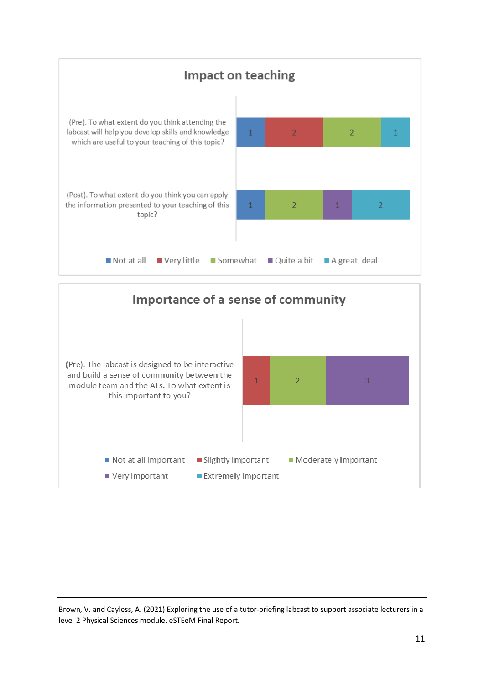

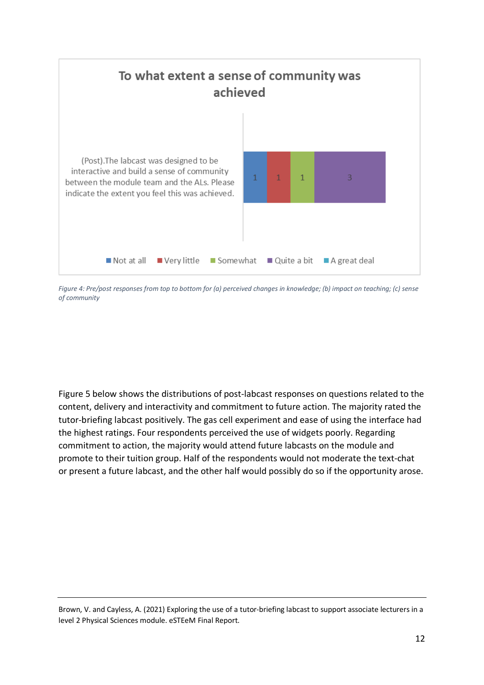

<span id="page-11-0"></span>*Figure 4: Pre/post responses from top to bottom for (a) perceived changes in knowledge; (b) impact on teaching; (c) sense of community*

Figure 5 below shows the distributions of post-labcast responses on questions related to the content, delivery and interactivity and commitment to future action. The majority rated the tutor-briefing labcast positively. The gas cell experiment and ease of using the interface had the highest ratings. Four respondents perceived the use of widgets poorly. Regarding commitment to action, the majority would attend future labcasts on the module and promote to their tuition group. Half of the respondents would not moderate the text-chat or present a future labcast, and the other half would possibly do so if the opportunity arose.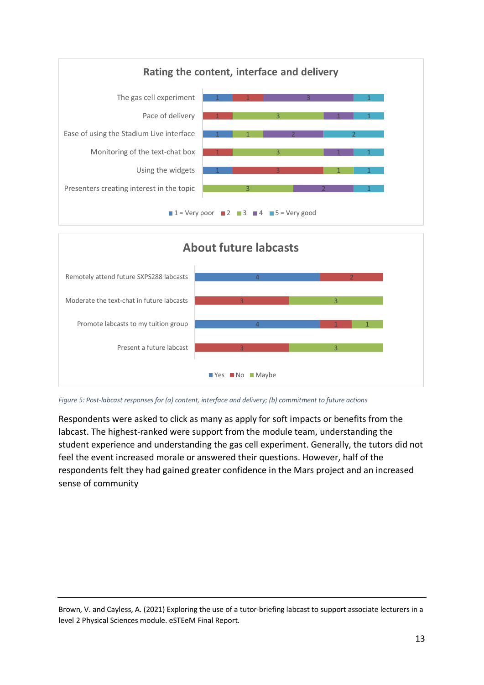



<span id="page-12-0"></span>*Figure 5: Post-labcast responses for (a) content, interface and delivery; (b) commitment to future actions*

Respondents were asked to click as many as apply for soft impacts or benefits from the labcast. The highest-ranked were support from the module team, understanding the student experience and understanding the gas cell experiment. Generally, the tutors did not feel the event increased morale or answered their questions. However, half of the respondents felt they had gained greater confidence in the Mars project and an increased sense of community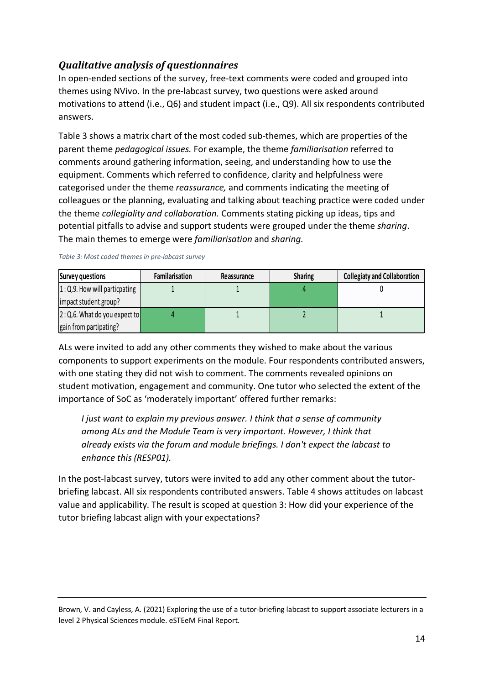# *Qualitative analysis of questionnaires*

In open-ended sections of the survey, free-text comments were coded and grouped into themes using NVivo. In the pre-labcast survey, two questions were asked around motivations to attend (i.e., Q6) and student impact (i.e., Q9). All six respondents contributed answers.

Table 3 shows a matrix chart of the most coded sub-themes, which are properties of the parent theme *pedagogical issues.* For example, the theme *familiarisation* referred to comments around gathering information, seeing, and understanding how to use the equipment. Comments which referred to confidence, clarity and helpfulness were categorised under the theme *reassurance,* and comments indicating the meeting of colleagues or the planning, evaluating and talking about teaching practice were coded under the theme *collegiality and collaboration.* Comments stating picking up ideas, tips and potential pitfalls to advise and support students were grouped under the theme *sharing*. The main themes to emerge were *familiarisation* and *sharing.*

| Survey questions                | Familarisation | Reassurance | <b>Sharing</b> | <b>Collegiaty and Collaboration</b> |
|---------------------------------|----------------|-------------|----------------|-------------------------------------|
| $1:Q.9$ . How will particpating |                |             |                |                                     |
| impact student group?           |                |             |                |                                     |
| $2:Q.6.$ What do you expect to  |                |             |                |                                     |
| gain from partipating?          |                |             |                |                                     |

#### <span id="page-13-0"></span>*Table 3: Most coded themes in pre-labcast survey*

ALs were invited to add any other comments they wished to make about the various components to support experiments on the module. Four respondents contributed answers, with one stating they did not wish to comment. The comments revealed opinions on student motivation, engagement and community. One tutor who selected the extent of the importance of SoC as 'moderately important' offered further remarks:

*I just want to explain my previous answer. I think that a sense of community among ALs and the Module Team is very important. However, I think that already exists via the forum and module briefings. I don't expect the labcast to enhance this (RESP01).* 

In the post-labcast survey, tutors were invited to add any other comment about the tutorbriefing labcast. All six respondents contributed answers. Table 4 shows attitudes on labcast value and applicability. The result is scoped at question 3: How did your experience of the tutor briefing labcast align with your expectations?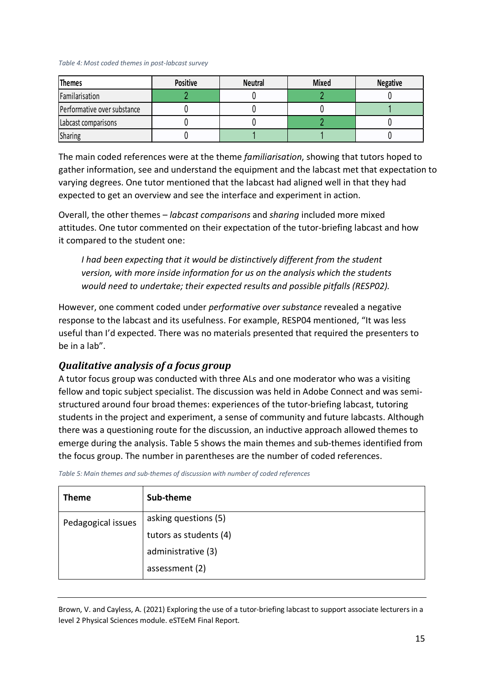#### <span id="page-14-0"></span>*Table 4: Most coded themes in post-labcast survey*

| <b>Themes</b>               | <b>Positive</b> | <b>Neutral</b> | <b>Mixed</b> | <b>Negative</b> |
|-----------------------------|-----------------|----------------|--------------|-----------------|
| Familarisation              |                 |                |              |                 |
| Performative over substance |                 |                |              |                 |
| Labcast comparisons         |                 |                |              |                 |
| <b>Sharing</b>              |                 |                |              |                 |

The main coded references were at the theme *familiarisation*, showing that tutors hoped to gather information, see and understand the equipment and the labcast met that expectation to varying degrees. One tutor mentioned that the labcast had aligned well in that they had expected to get an overview and see the interface and experiment in action.

Overall, the other themes – *labcast comparisons* and *sharing* included more mixed attitudes. One tutor commented on their expectation of the tutor-briefing labcast and how it compared to the student one:

*I* had been expecting that it would be distinctively different from the student *version, with more inside information for us on the analysis which the students would need to undertake; their expected results and possible pitfalls (RESP02).*

However, one comment coded under *performative over substance* revealed a negative response to the labcast and its usefulness. For example, RESP04 mentioned, "It was less useful than I'd expected. There was no materials presented that required the presenters to be in a lab".

### *Qualitative analysis of a focus group*

A tutor focus group was conducted with three ALs and one moderator who was a visiting fellow and topic subject specialist. The discussion was held in Adobe Connect and was semistructured around four broad themes: experiences of the tutor-briefing labcast, tutoring students in the project and experiment, a sense of community and future labcasts. Although there was a questioning route for the discussion, an inductive approach allowed themes to emerge during the analysis. Table 5 shows the main themes and sub-themes identified from the focus group. The number in parentheses are the number of coded references.

| <b>Theme</b>       | Sub-theme              |
|--------------------|------------------------|
| Pedagogical issues | asking questions (5)   |
|                    | tutors as students (4) |
|                    | administrative (3)     |
|                    | assessment (2)         |

<span id="page-14-1"></span>*Table 5: Main themes and sub-themes of discussion with number of coded references*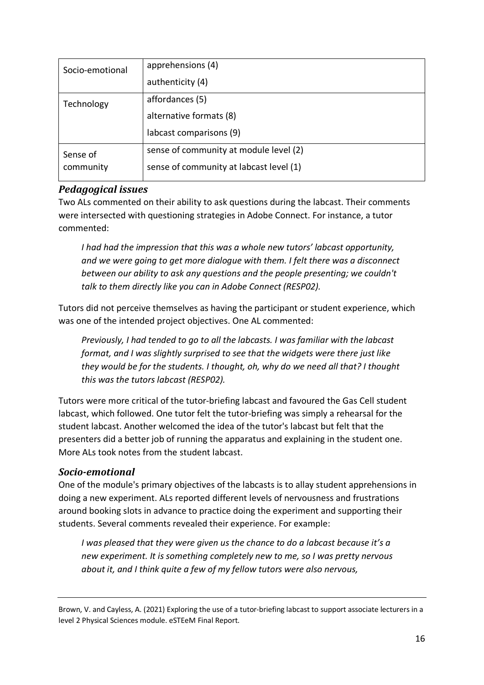| Socio-emotional | apprehensions (4)                       |
|-----------------|-----------------------------------------|
|                 | authenticity (4)                        |
| Technology      | affordances (5)                         |
|                 | alternative formats (8)                 |
|                 | labcast comparisons (9)                 |
| Sense of        | sense of community at module level (2)  |
| community       | sense of community at labcast level (1) |
|                 |                                         |

### *Pedagogical issues*

Two ALs commented on their ability to ask questions during the labcast. Their comments were intersected with questioning strategies in Adobe Connect. For instance, a tutor commented:

*I had had the impression that this was a whole new tutors' labcast opportunity, and we were going to get more dialogue with them. I felt there was a disconnect between our ability to ask any questions and the people presenting; we couldn't talk to them directly like you can in Adobe Connect (RESP02).*

Tutors did not perceive themselves as having the participant or student experience, which was one of the intended project objectives. One AL commented:

*Previously, I had tended to go to all the labcasts. I was familiar with the labcast format, and I was slightly surprised to see that the widgets were there just like they would be for the students. I thought, oh, why do we need all that? I thought this was the tutors labcast (RESP02).*

Tutors were more critical of the tutor-briefing labcast and favoured the Gas Cell student labcast, which followed. One tutor felt the tutor-briefing was simply a rehearsal for the student labcast. Another welcomed the idea of the tutor's labcast but felt that the presenters did a better job of running the apparatus and explaining in the student one. More ALs took notes from the student labcast.

### *Socio-emotional*

One of the module's primary objectives of the labcasts is to allay student apprehensions in doing a new experiment. ALs reported different levels of nervousness and frustrations around booking slots in advance to practice doing the experiment and supporting their students. Several comments revealed their experience. For example:

*I was pleased that they were given us the chance to do a labcast because it's a new experiment. It is something completely new to me, so I was pretty nervous about it, and I think quite a few of my fellow tutors were also nervous,*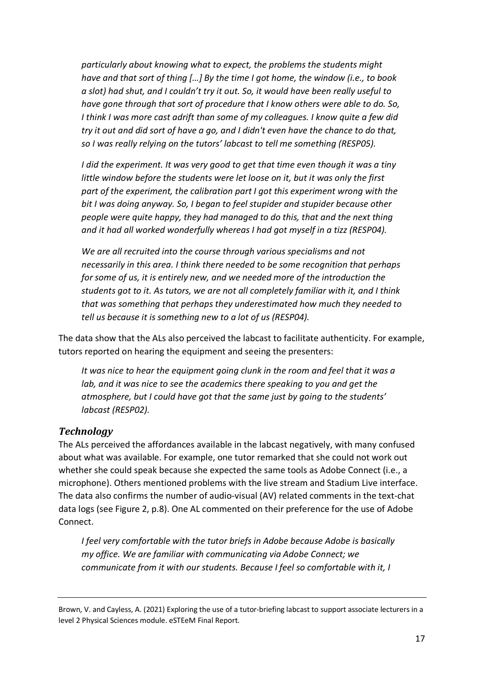*particularly about knowing what to expect, the problems the students might have and that sort of thing […] By the time I got home, the window (i.e., to book a slot) had shut, and I couldn't try it out. So, it would have been really useful to have gone through that sort of procedure that I know others were able to do. So, I think I was more cast adrift than some of my colleagues. I know quite a few did try it out and did sort of have a go, and I didn't even have the chance to do that, so I was really relying on the tutors' labcast to tell me something (RESP05).*

*I did the experiment. It was very good to get that time even though it was a tiny little window before the students were let loose on it, but it was only the first part of the experiment, the calibration part I got this experiment wrong with the bit I was doing anyway. So, I began to feel stupider and stupider because other people were quite happy, they had managed to do this, that and the next thing and it had all worked wonderfully whereas I had got myself in a tizz (RESP04).*

*We are all recruited into the course through various specialisms and not necessarily in this area. I think there needed to be some recognition that perhaps for some of us, it is entirely new, and we needed more of the introduction the students got to it. As tutors, we are not all completely familiar with it, and I think that was something that perhaps they underestimated how much they needed to tell us because it is something new to a lot of us (RESP04).*

The data show that the ALs also perceived the labcast to facilitate authenticity. For example, tutors reported on hearing the equipment and seeing the presenters:

*It was nice to hear the equipment going clunk in the room and feel that it was a lab, and it was nice to see the academics there speaking to you and get the atmosphere, but I could have got that the same just by going to the students' labcast (RESP02).*

### *Technology*

The ALs perceived the affordances available in the labcast negatively, with many confused about what was available. For example, one tutor remarked that she could not work out whether she could speak because she expected the same tools as Adobe Connect (i.e., a microphone). Others mentioned problems with the live stream and Stadium Live interface. The data also confirms the number of audio-visual (AV) related comments in the text-chat data logs (see Figure 2, p.8). One AL commented on their preference for the use of Adobe Connect.

*I feel very comfortable with the tutor briefs in Adobe because Adobe is basically my office. We are familiar with communicating via Adobe Connect; we communicate from it with our students. Because I feel so comfortable with it, I*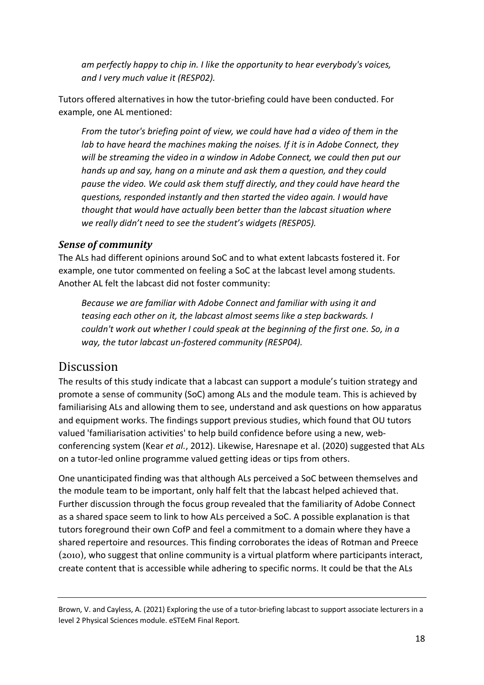*am perfectly happy to chip in. I like the opportunity to hear everybody's voices, and I very much value it (RESP02).*

Tutors offered alternatives in how the tutor-briefing could have been conducted. For example, one AL mentioned:

*From the tutor's briefing point of view, we could have had a video of them in the lab to have heard the machines making the noises. If it is in Adobe Connect, they will be streaming the video in a window in Adobe Connect, we could then put our hands up and say, hang on a minute and ask them a question, and they could pause the video. We could ask them stuff directly, and they could have heard the questions, responded instantly and then started the video again. I would have thought that would have actually been better than the labcast situation where we really didn't need to see the student's widgets (RESP05).*

### *Sense of community*

The ALs had different opinions around SoC and to what extent labcasts fostered it. For example, one tutor commented on feeling a SoC at the labcast level among students. Another AL felt the labcast did not foster community:

*Because we are familiar with Adobe Connect and familiar with using it and teasing each other on it, the labcast almost seems like a step backwards. I couldn't work out whether I could speak at the beginning of the first one. So, in a way, the tutor labcast un-fostered community (RESP04).*

# Discussion

The results of this study indicate that a labcast can support a module's tuition strategy and promote a sense of community (SoC) among ALs and the module team. This is achieved by familiarising ALs and allowing them to see, understand and ask questions on how apparatus and equipment works. The findings support previous studies, which found that OU tutors valued 'familiarisation activities' to help build confidence before using a new, webconferencing system (Kear *et al.*, 2012). Likewise, Haresnape et al. (2020) suggested that ALs on a tutor-led online programme valued getting ideas or tips from others.

One unanticipated finding was that although ALs perceived a SoC between themselves and the module team to be important, only half felt that the labcast helped achieved that. Further discussion through the focus group revealed that the familiarity of Adobe Connect as a shared space seem to link to how ALs perceived a SoC. A possible explanation is that tutors foreground their own CofP and feel a commitment to a domain where they have a shared repertoire and resources. This finding corroborates the ideas of Rotman and Preece (2010), who suggest that online community is a virtual platform where participants interact, create content that is accessible while adhering to specific norms. It could be that the ALs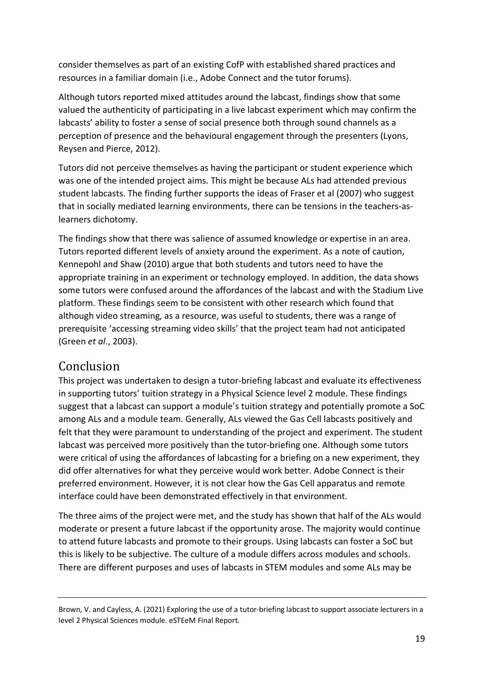consider themselves as part of an existing CofP with established shared practices and resources in a familiar domain (i.e., Adobe Connect and the tutor forums).

Although tutors reported mixed attitudes around the labcast, findings show that some valued the authenticity of participating in a live labcast experiment which may confirm the labcasts' ability to foster a sense of social presence both through sound channels as a perception of presence and the behavioural engagement through the presenters (Lyons, Reysen and Pierce, 2012).

Tutors did not perceive themselves as having the participant or student experience which was one of the intended project aims. This might be because ALs had attended previous student labcasts. The finding further supports the ideas of Fraser et al (2007) who suggest that in socially mediated learning environments, there can be tensions in the teachers-aslearners dichotomy.

The findings show that there was salience of assumed knowledge or expertise in an area. Tutors reported different levels of anxiety around the experiment. As a note of caution, Kennepohl and Shaw (2010) argue that both students and tutors need to have the appropriate training in an experiment or technology employed. In addition, the data shows some tutors were confused around the affordances of the labcast and with the Stadium Live platform. These findings seem to be consistent with other research which found that although video streaming, as a resource, was useful to students, there was a range of prerequisite 'accessing streaming video skills' that the project team had not anticipated (Green *et al.*, 2003).

# Conclusion

This project was undertaken to design a tutor-briefing labcast and evaluate its effectiveness in supporting tutors' tuition strategy in a Physical Science level 2 module. These findings suggest that a labcast can support a module's tuition strategy and potentially promote a SoC among ALs and a module team. Generally, ALs viewed the Gas Cell labcasts positively and felt that they were paramount to understanding of the project and experiment. The student labcast was perceived more positively than the tutor-briefing one. Although some tutors were critical of using the affordances of labcasting for a briefing on a new experiment, they did offer alternatives for what they perceive would work better. Adobe Connect is their preferred environment. However, it is not clear how the Gas Cell apparatus and remote interface could have been demonstrated effectively in that environment.

The three aims of the project were met, and the study has shown that half of the ALs would moderate or present a future labcast if the opportunity arose. The majority would continue to attend future labcasts and promote to their groups. Using labcasts can foster a SoC but this is likely to be subjective. The culture of a module differs across modules and schools. There are different purposes and uses of labcasts in STEM modules and some ALs may be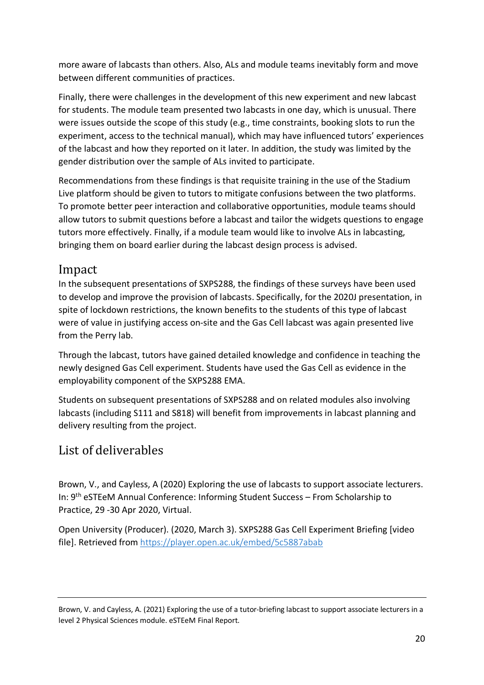more aware of labcasts than others. Also, ALs and module teams inevitably form and move between different communities of practices.

Finally, there were challenges in the development of this new experiment and new labcast for students. The module team presented two labcasts in one day, which is unusual. There were issues outside the scope of this study (e.g., time constraints, booking slots to run the experiment, access to the technical manual), which may have influenced tutors' experiences of the labcast and how they reported on it later. In addition, the study was limited by the gender distribution over the sample of ALs invited to participate.

Recommendations from these findings is that requisite training in the use of the Stadium Live platform should be given to tutors to mitigate confusions between the two platforms. To promote better peer interaction and collaborative opportunities, module teams should allow tutors to submit questions before a labcast and tailor the widgets questions to engage tutors more effectively. Finally, if a module team would like to involve ALs in labcasting, bringing them on board earlier during the labcast design process is advised.

# Impact

In the subsequent presentations of SXPS288, the findings of these surveys have been used to develop and improve the provision of labcasts. Specifically, for the 2020J presentation, in spite of lockdown restrictions, the known benefits to the students of this type of labcast were of value in justifying access on-site and the Gas Cell labcast was again presented live from the Perry lab.

Through the labcast, tutors have gained detailed knowledge and confidence in teaching the newly designed Gas Cell experiment. Students have used the Gas Cell as evidence in the employability component of the SXPS288 EMA.

Students on subsequent presentations of SXPS288 and on related modules also involving labcasts (including S111 and S818) will benefit from improvements in labcast planning and delivery resulting from the project.

# List of deliverables

Brown, V., and Cayless, A (2020) Exploring the use of labcasts to support associate lecturers. In: 9th eSTEeM Annual Conference: Informing Student Success – From Scholarship to Practice, 29 -30 Apr 2020, Virtual.

Open University (Producer). (2020, March 3). SXPS288 Gas Cell Experiment Briefing [video file]. Retrieved from <https://player.open.ac.uk/embed/5c5887abab>

Brown, V. and Cayless, A. (2021) Exploring the use of a tutor-briefing labcast to support associate lecturers in a level 2 Physical Sciences module. eSTEeM Final Report.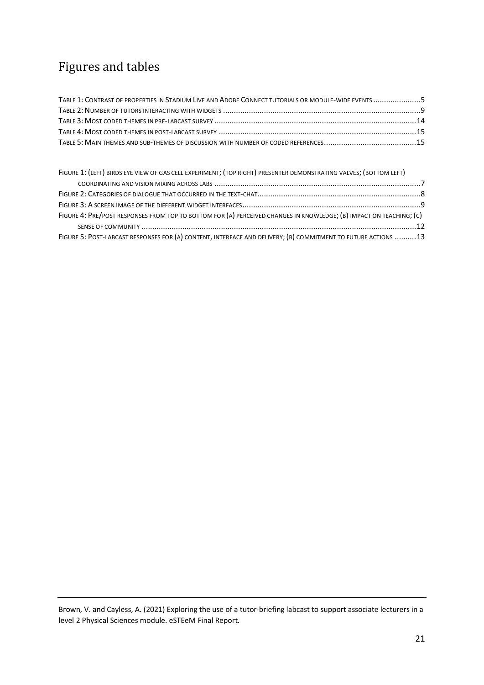# Figures and tables

| TABLE 1: CONTRAST OF PROPERTIES IN STADIUM LIVE AND ADOBE CONNECT TUTORIALS OR MODULE-WIDE EVENTS 5 |  |
|-----------------------------------------------------------------------------------------------------|--|
|                                                                                                     |  |
|                                                                                                     |  |
|                                                                                                     |  |
|                                                                                                     |  |

| FIGURE 1: (LEFT) BIRDS EYE VIEW OF GAS CELL EXPERIMENT; (TOP RIGHT) PRESENTER DEMONSTRATING VALVES; (BOTTOM LEFT)   |  |
|---------------------------------------------------------------------------------------------------------------------|--|
|                                                                                                                     |  |
|                                                                                                                     |  |
|                                                                                                                     |  |
| FIGURE 4: PRE/POST RESPONSES FROM TOP TO BOTTOM FOR (A) PERCEIVED CHANGES IN KNOWLEDGE; (B) IMPACT ON TEACHING; (C) |  |
|                                                                                                                     |  |
| FIGURE 5: POST-LABCAST RESPONSES FOR (A) CONTENT, INTERFACE AND DELIVERY; (B) COMMITMENT TO FUTURE ACTIONS 13       |  |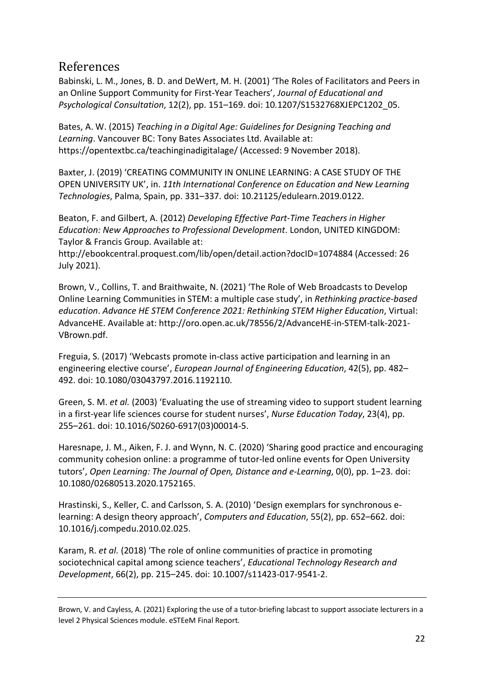# References

Babinski, L. M., Jones, B. D. and DeWert, M. H. (2001) 'The Roles of Facilitators and Peers in an Online Support Community for First-Year Teachers', *Journal of Educational and Psychological Consultation*, 12(2), pp. 151–169. doi: 10.1207/S1532768XJEPC1202\_05.

Bates, A. W. (2015) *Teaching in a Digital Age: Guidelines for Designing Teaching and Learning*. Vancouver BC: Tony Bates Associates Ltd. Available at: https://opentextbc.ca/teachinginadigitalage/ (Accessed: 9 November 2018).

Baxter, J. (2019) 'CREATING COMMUNITY IN ONLINE LEARNING: A CASE STUDY OF THE OPEN UNIVERSITY UK', in. *11th International Conference on Education and New Learning Technologies*, Palma, Spain, pp. 331–337. doi: 10.21125/edulearn.2019.0122.

Beaton, F. and Gilbert, A. (2012) *Developing Effective Part-Time Teachers in Higher Education: New Approaches to Professional Development*. London, UNITED KINGDOM: Taylor & Francis Group. Available at:

http://ebookcentral.proquest.com/lib/open/detail.action?docID=1074884 (Accessed: 26 July 2021).

Brown, V., Collins, T. and Braithwaite, N. (2021) 'The Role of Web Broadcasts to Develop Online Learning Communities in STEM: a multiple case study', in *Rethinking practice-based education*. *Advance HE STEM Conference 2021: Rethinking STEM Higher Education*, Virtual: AdvanceHE. Available at: http://oro.open.ac.uk/78556/2/AdvanceHE-in-STEM-talk-2021- VBrown.pdf.

Freguia, S. (2017) 'Webcasts promote in-class active participation and learning in an engineering elective course', *European Journal of Engineering Education*, 42(5), pp. 482– 492. doi: 10.1080/03043797.2016.1192110.

Green, S. M. *et al.* (2003) 'Evaluating the use of streaming video to support student learning in a first-year life sciences course for student nurses', *Nurse Education Today*, 23(4), pp. 255–261. doi: 10.1016/S0260-6917(03)00014-5.

Haresnape, J. M., Aiken, F. J. and Wynn, N. C. (2020) 'Sharing good practice and encouraging community cohesion online: a programme of tutor-led online events for Open University tutors', *Open Learning: The Journal of Open, Distance and e-Learning*, 0(0), pp. 1–23. doi: 10.1080/02680513.2020.1752165.

Hrastinski, S., Keller, C. and Carlsson, S. A. (2010) 'Design exemplars for synchronous elearning: A design theory approach', *Computers and Education*, 55(2), pp. 652–662. doi: 10.1016/j.compedu.2010.02.025.

Karam, R. *et al.* (2018) 'The role of online communities of practice in promoting sociotechnical capital among science teachers', *Educational Technology Research and Development*, 66(2), pp. 215–245. doi: 10.1007/s11423-017-9541-2.